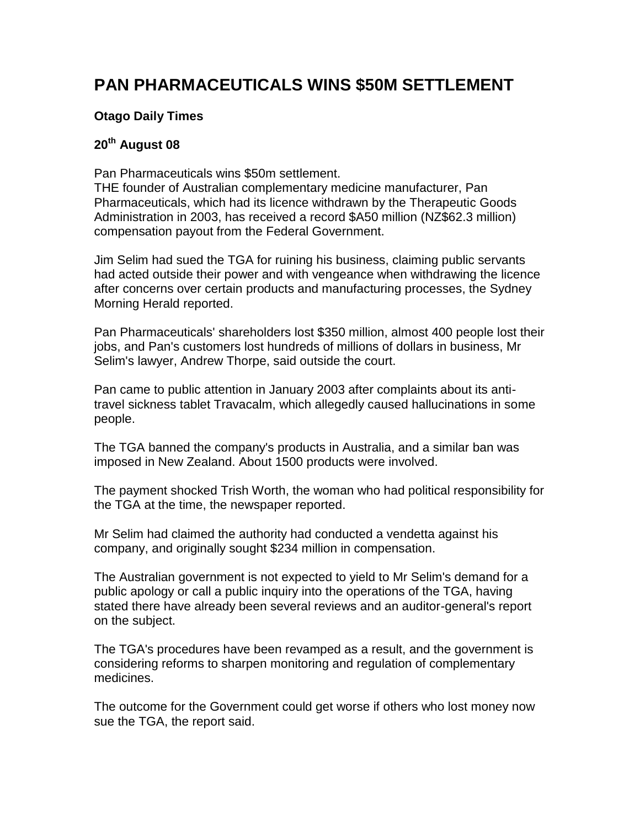## **PAN PHARMACEUTICALS WINS \$50M SETTLEMENT**

## **Otago Daily Times**

## **20th August 08**

Pan Pharmaceuticals wins \$50m settlement.

THE founder of Australian complementary medicine manufacturer, Pan Pharmaceuticals, which had its licence withdrawn by the Therapeutic Goods Administration in 2003, has received a record \$A50 million (NZ\$62.3 million) compensation payout from the Federal Government.

Jim Selim had sued the TGA for ruining his business, claiming public servants had acted outside their power and with vengeance when withdrawing the licence after concerns over certain products and manufacturing processes, the Sydney Morning Herald reported.

Pan Pharmaceuticals' shareholders lost \$350 million, almost 400 people lost their jobs, and Pan's customers lost hundreds of millions of dollars in business, Mr Selim's lawyer, Andrew Thorpe, said outside the court.

Pan came to public attention in January 2003 after complaints about its antitravel sickness tablet Travacalm, which allegedly caused hallucinations in some people.

The TGA banned the company's products in Australia, and a similar ban was imposed in New Zealand. About 1500 products were involved.

The payment shocked Trish Worth, the woman who had political responsibility for the TGA at the time, the newspaper reported.

Mr Selim had claimed the authority had conducted a vendetta against his company, and originally sought \$234 million in compensation.

The Australian government is not expected to yield to Mr Selim's demand for a public apology or call a public inquiry into the operations of the TGA, having stated there have already been several reviews and an auditor-general's report on the subject.

The TGA's procedures have been revamped as a result, and the government is considering reforms to sharpen monitoring and regulation of complementary medicines.

The outcome for the Government could get worse if others who lost money now sue the TGA, the report said.